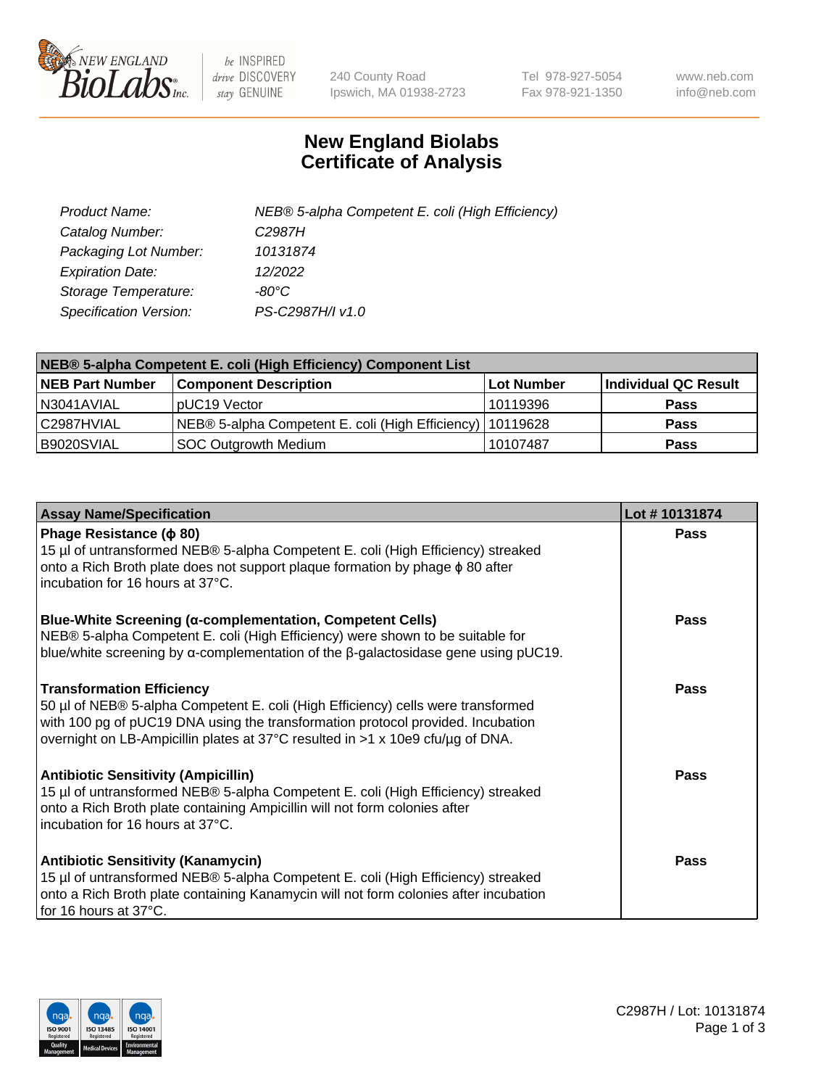

 $be$  INSPIRED drive DISCOVERY stay GENUINE

240 County Road Ipswich, MA 01938-2723 Tel 978-927-5054 Fax 978-921-1350 www.neb.com info@neb.com

## **New England Biolabs Certificate of Analysis**

| Product Name:           | NEB® 5-alpha Competent E. coli (High Efficiency) |
|-------------------------|--------------------------------------------------|
| Catalog Number:         | C <sub>2987</sub> H                              |
| Packaging Lot Number:   | 10131874                                         |
| <b>Expiration Date:</b> | 12/2022                                          |
| Storage Temperature:    | -80°C.                                           |
| Specification Version:  | PS-C2987H/I v1.0                                 |

| NEB® 5-alpha Competent E. coli (High Efficiency) Component List |                                                             |            |                      |  |
|-----------------------------------------------------------------|-------------------------------------------------------------|------------|----------------------|--|
| <b>NEB Part Number</b>                                          | <b>Component Description</b>                                | Lot Number | Individual QC Result |  |
| I N3041AVIAL                                                    | pUC19 Vector                                                | 10119396   | <b>Pass</b>          |  |
| C2987HVIAL                                                      | NEB® 5-alpha Competent E. coli (High Efficiency)   10119628 |            | <b>Pass</b>          |  |
| B9020SVIAL                                                      | SOC Outgrowth Medium                                        | 10107487   | <b>Pass</b>          |  |

| <b>Assay Name/Specification</b>                                                                                                                                                                                                                                                           | Lot #10131874 |
|-------------------------------------------------------------------------------------------------------------------------------------------------------------------------------------------------------------------------------------------------------------------------------------------|---------------|
| Phage Resistance ( $\phi$ 80)<br>15 µl of untransformed NEB® 5-alpha Competent E. coli (High Efficiency) streaked<br>onto a Rich Broth plate does not support plaque formation by phage $\phi$ 80 after<br>incubation for 16 hours at 37°C.                                               | Pass          |
| <b>Blue-White Screening (α-complementation, Competent Cells)</b><br>NEB® 5-alpha Competent E. coli (High Efficiency) were shown to be suitable for<br>blue/white screening by $\alpha$ -complementation of the $\beta$ -galactosidase gene using pUC19.                                   | Pass          |
| <b>Transformation Efficiency</b><br>50 µl of NEB® 5-alpha Competent E. coli (High Efficiency) cells were transformed<br>with 100 pg of pUC19 DNA using the transformation protocol provided. Incubation<br>overnight on LB-Ampicillin plates at 37°C resulted in >1 x 10e9 cfu/µg of DNA. | Pass          |
| <b>Antibiotic Sensitivity (Ampicillin)</b><br>15 µl of untransformed NEB® 5-alpha Competent E. coli (High Efficiency) streaked<br>onto a Rich Broth plate containing Ampicillin will not form colonies after<br>incubation for 16 hours at 37°C.                                          | Pass          |
| <b>Antibiotic Sensitivity (Kanamycin)</b><br>15 µl of untransformed NEB® 5-alpha Competent E. coli (High Efficiency) streaked<br>onto a Rich Broth plate containing Kanamycin will not form colonies after incubation<br>for 16 hours at 37°C.                                            | <b>Pass</b>   |

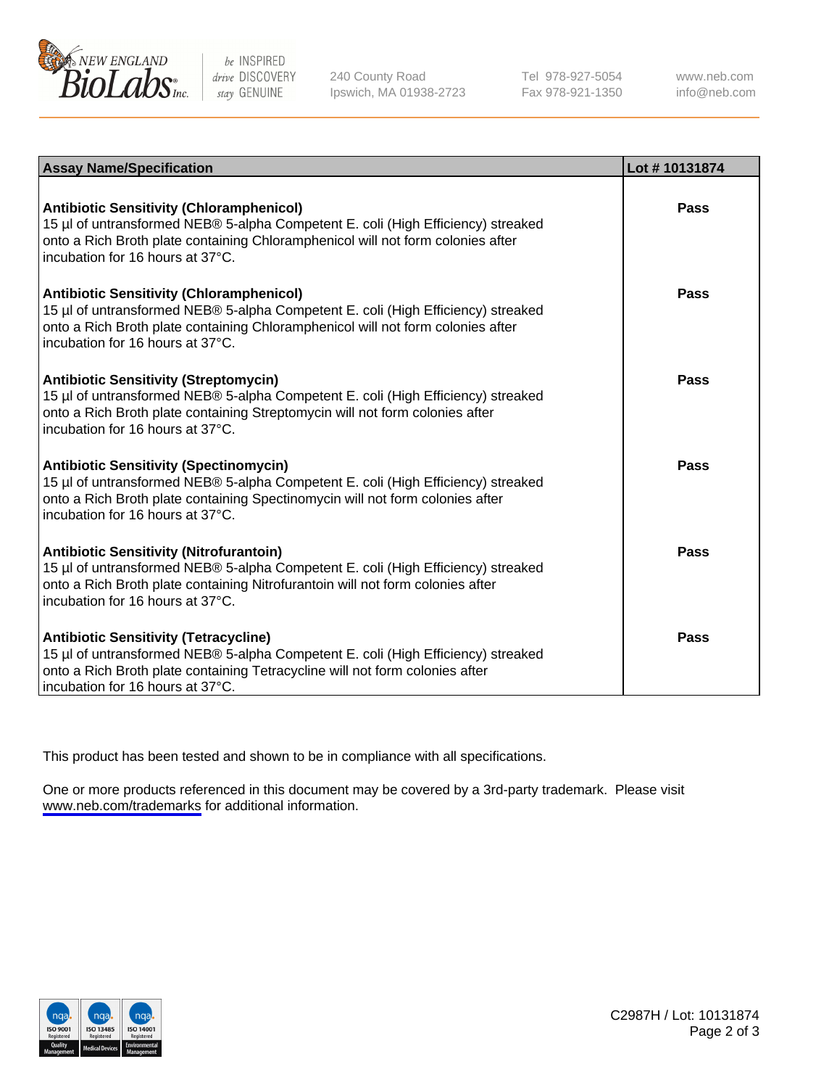

be INSPIRED drive DISCOVERY stay GENUINE

240 County Road Ipswich, MA 01938-2723 Tel 978-927-5054 Fax 978-921-1350

www.neb.com info@neb.com

| <b>Assay Name/Specification</b>                                                                                                                                                                                                                            | Lot #10131874 |
|------------------------------------------------------------------------------------------------------------------------------------------------------------------------------------------------------------------------------------------------------------|---------------|
| <b>Antibiotic Sensitivity (Chloramphenicol)</b><br>15 µl of untransformed NEB® 5-alpha Competent E. coli (High Efficiency) streaked<br>onto a Rich Broth plate containing Chloramphenicol will not form colonies after<br>incubation for 16 hours at 37°C. | Pass          |
| <b>Antibiotic Sensitivity (Chloramphenicol)</b><br>15 µl of untransformed NEB® 5-alpha Competent E. coli (High Efficiency) streaked<br>onto a Rich Broth plate containing Chloramphenicol will not form colonies after<br>incubation for 16 hours at 37°C. | Pass          |
| <b>Antibiotic Sensitivity (Streptomycin)</b><br>15 µl of untransformed NEB® 5-alpha Competent E. coli (High Efficiency) streaked<br>onto a Rich Broth plate containing Streptomycin will not form colonies after<br>incubation for 16 hours at 37°C.       | Pass          |
| <b>Antibiotic Sensitivity (Spectinomycin)</b><br>15 µl of untransformed NEB® 5-alpha Competent E. coli (High Efficiency) streaked<br>onto a Rich Broth plate containing Spectinomycin will not form colonies after<br>incubation for 16 hours at 37°C.     | Pass          |
| <b>Antibiotic Sensitivity (Nitrofurantoin)</b><br>15 µl of untransformed NEB® 5-alpha Competent E. coli (High Efficiency) streaked<br>onto a Rich Broth plate containing Nitrofurantoin will not form colonies after<br>incubation for 16 hours at 37°C.   | Pass          |
| <b>Antibiotic Sensitivity (Tetracycline)</b><br>15 µl of untransformed NEB® 5-alpha Competent E. coli (High Efficiency) streaked<br>onto a Rich Broth plate containing Tetracycline will not form colonies after<br>incubation for 16 hours at 37°C.       | Pass          |

This product has been tested and shown to be in compliance with all specifications.

One or more products referenced in this document may be covered by a 3rd-party trademark. Please visit <www.neb.com/trademarks>for additional information.